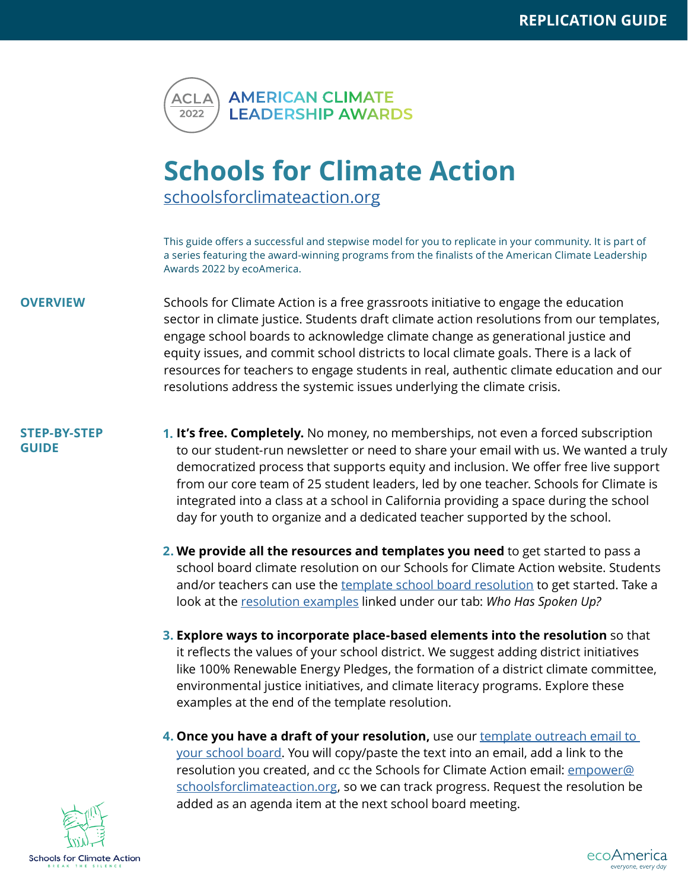

## **Schools for Climate Action**

[schoolsforclimateaction.org](http://schoolsforclimateaction.org)

This guide offers a successful and stepwise model for you to replicate in your community. It is part of a series featuring the award-winning programs from the finalists of the American Climate Leadership Awards 2022 by ecoAmerica.

- **OVERVIEW** Schools for Climate Action is a free grassroots initiative to engage the education sector in climate justice. Students draft climate action resolutions from our templates, engage school boards to acknowledge climate change as generational justice and equity issues, and commit school districts to local climate goals. There is a lack of resources for teachers to engage students in real, authentic climate education and our resolutions address the systemic issues underlying the climate crisis.
- **STEP-BY-STEP GUIDE**
- **1. It's free. Completely.** No money, no memberships, not even a forced subscription to our student-run newsletter or need to share your email with us. We wanted a truly democratized process that supports equity and inclusion. We offer free live support from our core team of 25 student leaders, led by one teacher. Schools for Climate is integrated into a class at a school in California providing a space during the school day for youth to organize and a dedicated teacher supported by the school.
- **We provide all the resources and templates you need** to get started to pass a **2.** school board climate resolution on our Schools for Climate Action website. Students and/or teachers can use the [template school board resolution](https://docs.google.com/document/d/1ZZ016Gz0yD2N6OwYukw9VSH17ZEnyO7e3ax-3A6uYKU/copy) to get started. Take a look at the [resolution examples](https://schoolsforclimateaction.weebly.com/school-boards.html) linked under our tab: *Who Has Spoken Up?*
- **Explore ways to incorporate place-based elements into the resolution** so that **3.** it reflects the values of your school district. We suggest adding district initiatives like 100% Renewable Energy Pledges, the formation of a district climate committee, environmental justice initiatives, and climate literacy programs. Explore these examples at the end of the template resolution.
- **Once you have a draft of your resolution,** use our [template outreach email to](https://docs.google.com/document/d/1HSKwL_nC9mxdRIcw_JeI5rHChGqG5-9WdtrFBIVFknc/copy)  **4.**[your school board.](https://docs.google.com/document/d/1HSKwL_nC9mxdRIcw_JeI5rHChGqG5-9WdtrFBIVFknc/copy) You will copy/paste the text into an email, add a link to the resolution you created, and cc the Schools for Climate Action email: [empower@](mailto:empower@schoolsforclimateaction.org) [schoolsforclimateaction.org](mailto:empower@schoolsforclimateaction.org), so we can track progress. Request the resolution be added as an agenda item at the next school board meeting.



ecoAmerica everyone, every day